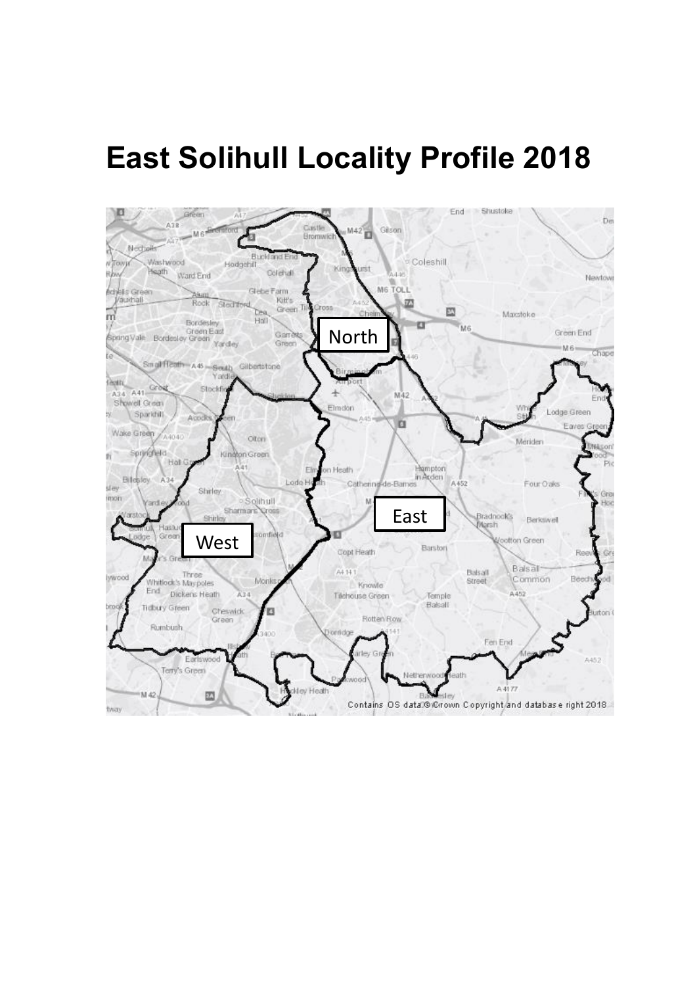# **East Solihull Locality Profile 2018**

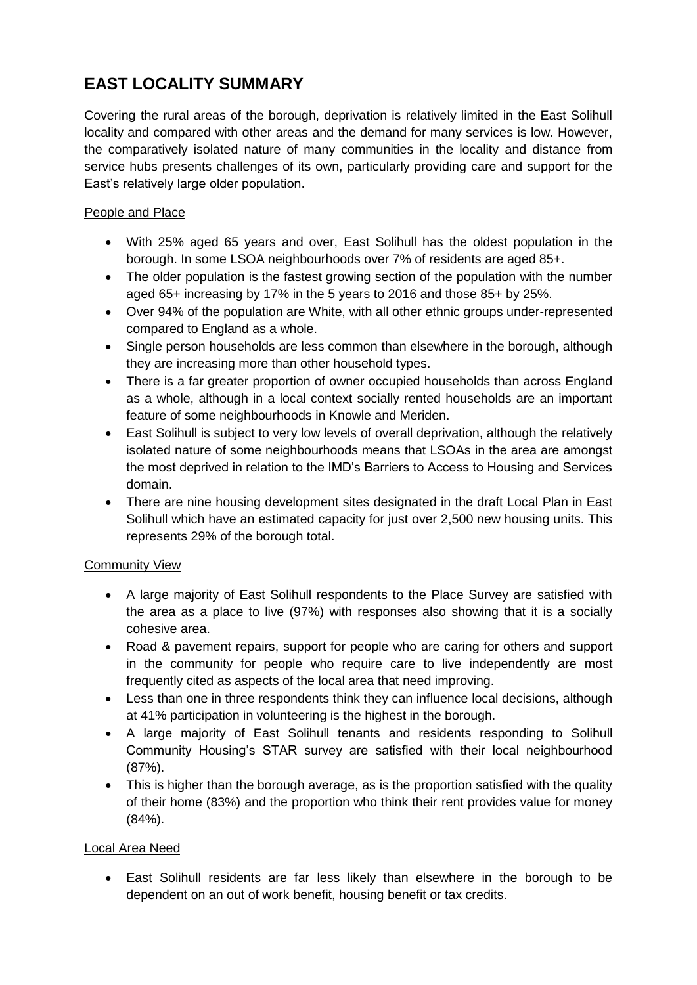## **EAST LOCALITY SUMMARY**

Covering the rural areas of the borough, deprivation is relatively limited in the East Solihull locality and compared with other areas and the demand for many services is low. However, the comparatively isolated nature of many communities in the locality and distance from service hubs presents challenges of its own, particularly providing care and support for the East's relatively large older population.

### People and Place

- With 25% aged 65 years and over, East Solihull has the oldest population in the borough. In some LSOA neighbourhoods over 7% of residents are aged 85+.
- The older population is the fastest growing section of the population with the number aged 65+ increasing by 17% in the 5 years to 2016 and those 85+ by 25%.
- Over 94% of the population are White, with all other ethnic groups under-represented compared to England as a whole.
- Single person households are less common than elsewhere in the borough, although they are increasing more than other household types.
- There is a far greater proportion of owner occupied households than across England as a whole, although in a local context socially rented households are an important feature of some neighbourhoods in Knowle and Meriden.
- East Solihull is subject to very low levels of overall deprivation, although the relatively isolated nature of some neighbourhoods means that LSOAs in the area are amongst the most deprived in relation to the IMD's Barriers to Access to Housing and Services domain.
- There are nine housing development sites designated in the draft Local Plan in East Solihull which have an estimated capacity for just over 2,500 new housing units. This represents 29% of the borough total.

### Community View

- A large majority of East Solihull respondents to the Place Survey are satisfied with the area as a place to live (97%) with responses also showing that it is a socially cohesive area.
- Road & pavement repairs, support for people who are caring for others and support in the community for people who require care to live independently are most frequently cited as aspects of the local area that need improving.
- Less than one in three respondents think they can influence local decisions, although at 41% participation in volunteering is the highest in the borough.
- A large majority of East Solihull tenants and residents responding to Solihull Community Housing's STAR survey are satisfied with their local neighbourhood (87%).
- This is higher than the borough average, as is the proportion satisfied with the quality of their home (83%) and the proportion who think their rent provides value for money (84%).

### Local Area Need

 East Solihull residents are far less likely than elsewhere in the borough to be dependent on an out of work benefit, housing benefit or tax credits.